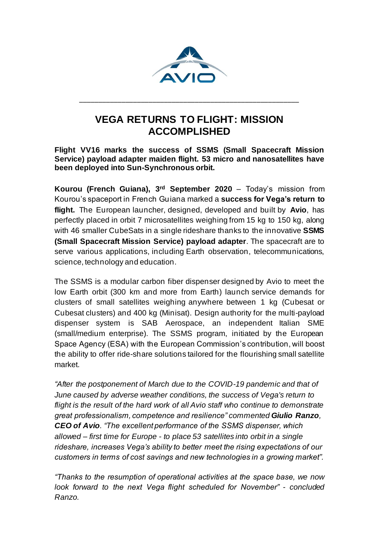

## **VEGA RETURNS TO FLIGHT: MISSION ACCOMPLISHED**

\_\_\_\_\_\_\_\_\_\_\_\_\_\_\_\_\_\_\_\_\_\_\_\_\_\_\_\_\_\_\_\_\_\_\_\_\_\_\_\_\_\_\_\_\_\_\_\_\_\_\_\_\_\_\_\_\_

## **Flight VV16 marks the success of SSMS (Small Spacecraft Mission Service) payload adapter maiden flight. 53 micro and nanosatellites have been deployed into Sun-Synchronous orbit.**

**Kourou (French Guiana), 3 rd September 2020** – Today's mission from Kourou's spaceport in French Guiana marked a **success for Vega's return to flight.** The European launcher, designed, developed and built by **Avio**, has perfectly placed in orbit 7 microsatellites weighing from 15 kg to 150 kg, along with 46 smaller CubeSats in a single rideshare thanks to the innovative **SSMS (Small Spacecraft Mission Service) payload adapter**. The spacecraft are to serve various applications, including Earth observation, telecommunications, science, technology and education.

The SSMS is a modular carbon fiber dispenser designed by Avio to meet the low Earth orbit (300 km and more from Earth) launch service demands for clusters of small satellites weighing anywhere between 1 kg (Cubesat or Cubesat clusters) and 400 kg (Minisat). Design authority for the multi-payload dispenser system is SAB Aerospace, an independent Italian SME (small/medium enterprise). The SSMS program, initiated by the European Space Agency (ESA) with the European Commission's contribution, will boost the ability to offer ride-share solutions tailored for the flourishing small satellite market.

*"After the postponement of March due to the COVID-19 pandemic and that of June caused by adverse weather conditions, the success of Vega's return to flight is the result of the hard work of all Avio staff who continue to demonstrate great professionalism, competence and resilience" commented Giulio Ranzo, CEO of Avio. "The excellent performance of the SSMS dispenser, which allowed – first time for Europe - to place 53 satellites into orbit in a single rideshare, increases Vega's ability to better meet the rising expectations of our customers in terms of cost savings and new technologies in a growing market".*

*"Thanks to the resumption of operational activities at the space base, we now look forward to the next Vega flight scheduled for November" - concluded Ranzo.*